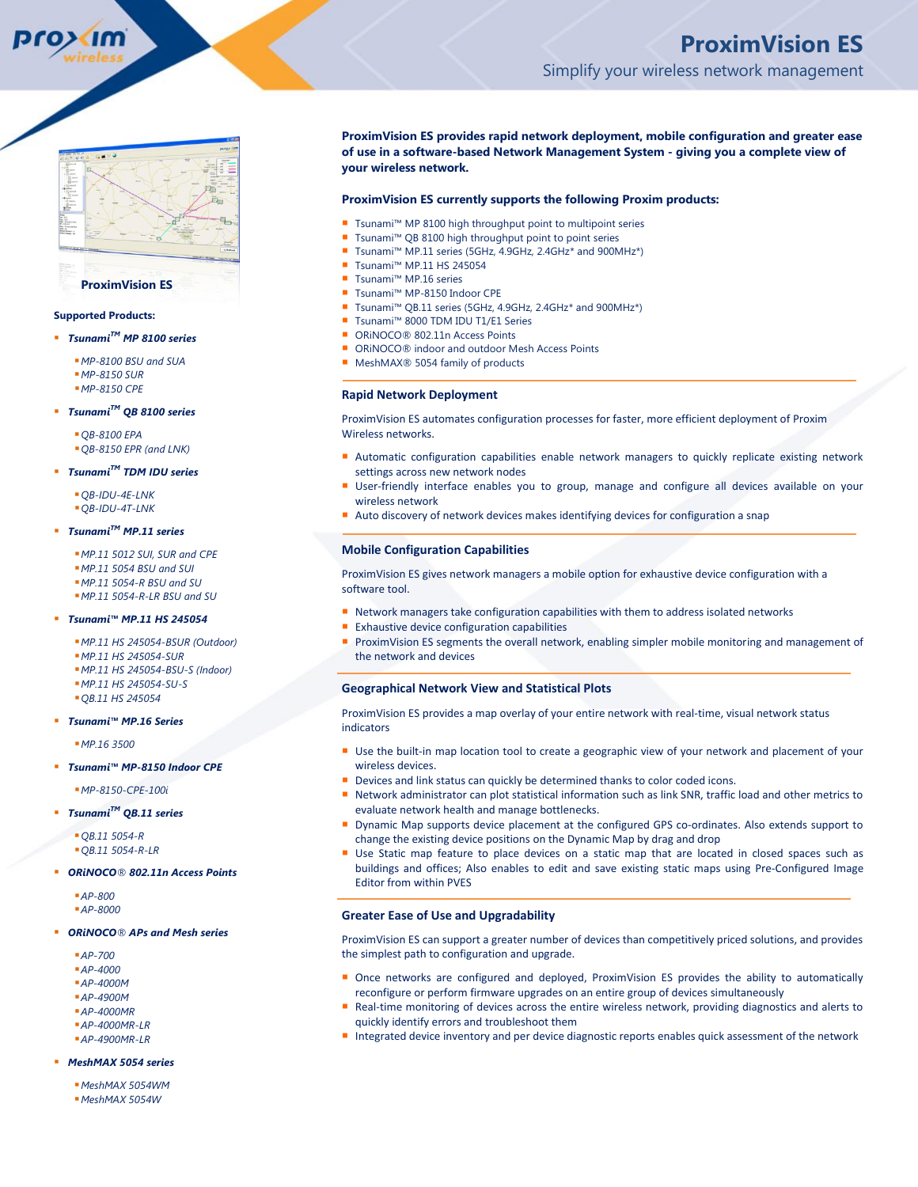### **ProximVision ES**

### **Supported Products:**

- *TsunamiTM MP 8100 series*
	- *MP-8100 BSU and SUA MP-8150 SUR MP-8150 CPE*
- *TsunamiTM QB 8100 series*
	- *QB-8100 EPA QB-8150 EPR (and LNK)*

### *TsunamiTM TDM IDU series*

*QB-IDU-4E-LNK QB-IDU-4T-LNK*

# *TsunamiTM MP.11 series*

*MP.11 5012 SUI, SUR and CPE MP.11 5054 BSU and SUI MP.11 5054-R BSU and SU MP.11 5054-R-LR BSU and SU*

### *Tsunami™ MP.11 HS 245054*

*MP.11 HS 245054-BSUR (Outdoor) MP.11 HS 245054-SUR MP.11 HS 245054-BSU-S (Indoor) MP.11 HS 245054-SU-S QB.11 HS 245054*

### *Tsunami™ MP.16 Series*

*MP.16 3500*

*Tsunami™ MP-8150 Indoor CPE*

*MP-8150-CPE-100i*

*TsunamiTM QB.11 series*

*QB.11 5054-R QB.11 5054-R-LR*

### *ORiNOCO® 802.11n Access Points*

*AP-800 AP-8000*

### *ORiNOCO® APs and Mesh series*

- *AP-700*
- *AP-4000*
- *AP-4000M*
- *AP-4900M*
- *AP-4000MR*
- *AP-4000MR-LR AP-4900MR-LR*

# *MeshMAX 5054 series*

*MeshMAX 5054WM MeshMAX 5054W*

# **ProximVision ES provides rapid network deployment, mobile configuration and greater ease of use in a software-based Network Management System - giving you a complete view of your wireless network.**

# **ProximVision ES currently supports the following Proxim products:**

- Tsunami™ MP 8100 high throughput point to multipoint series
- Tsunami™ QB 8100 high throughput point to point series
- Tsunami™ MP.11 series (5GHz, 4.9GHz, 2.4GHz\* and 900MHz\*)
- Tsunami™ MP.11 HS 245054
- Tsunami™ MP.16 series
- Tsunami™ MP-8150 Indoor CPE
- Tsunami™ QB.11 series (5GHz, 4.9GHz, 2.4GHz\* and 900MHz\*)
- Tsunami™ 8000 TDM IDU T1/E1 Series
- ORiNOCO<sup>®</sup> 802.11n Access Points
- ORiNOCO® indoor and outdoor Mesh Access Points
- MeshMAX<sup>®</sup> 5054 family of products

# **Rapid Network Deployment**

ProximVision ES automates configuration processes for faster, more efficient deployment of Proxim Wireless networks.

- Automatic configuration capabilities enable network managers to quickly replicate existing network settings across new network nodes
- **User-friendly interface enables you to group, manage and configure all devices available on your** wireless network
- Auto discovery of network devices makes identifying devices for configuration a snap

### **Mobile Configuration Capabilities**

ProximVision ES gives network managers a mobile option for exhaustive device configuration with a software tool.

- Network managers take configuration capabilities with them to address isolated networks
- **Exhaustive device configuration capabilities**
- ProximVision ES segments the overall network, enabling simpler mobile monitoring and management of the network and devices

### **Geographical Network View and Statistical Plots**

ProximVision ES provides a map overlay of your entire network with real-time, visual network status indicators

- Use the built-in map location tool to create a geographic view of your network and placement of your wireless devices.
- Devices and link status can quickly be determined thanks to color coded icons.
- Network administrator can plot statistical information such as link SNR, traffic load and other metrics to evaluate network health and manage bottlenecks.
- Dynamic Map supports device placement at the configured GPS co-ordinates. Also extends support to change the existing device positions on the Dynamic Map by drag and drop
- Use Static map feature to place devices on a static map that are located in closed spaces such as buildings and offices; Also enables to edit and save existing static maps using Pre-Configured Image Editor from within PVES

### **Greater Ease of Use and Upgradability**

ProximVision ES can support a greater number of devices than competitively priced solutions, and provides the simplest path to configuration and upgrade.

- Once networks are configured and deployed, ProximVision ES provides the ability to automatically reconfigure or perform firmware upgrades on an entire group of devices simultaneously
- Real-time monitoring of devices across the entire wireless network, providing diagnostics and alerts to quickly identify errors and troubleshoot them
- Integrated device inventory and per device diagnostic reports enables quick assessment of the network